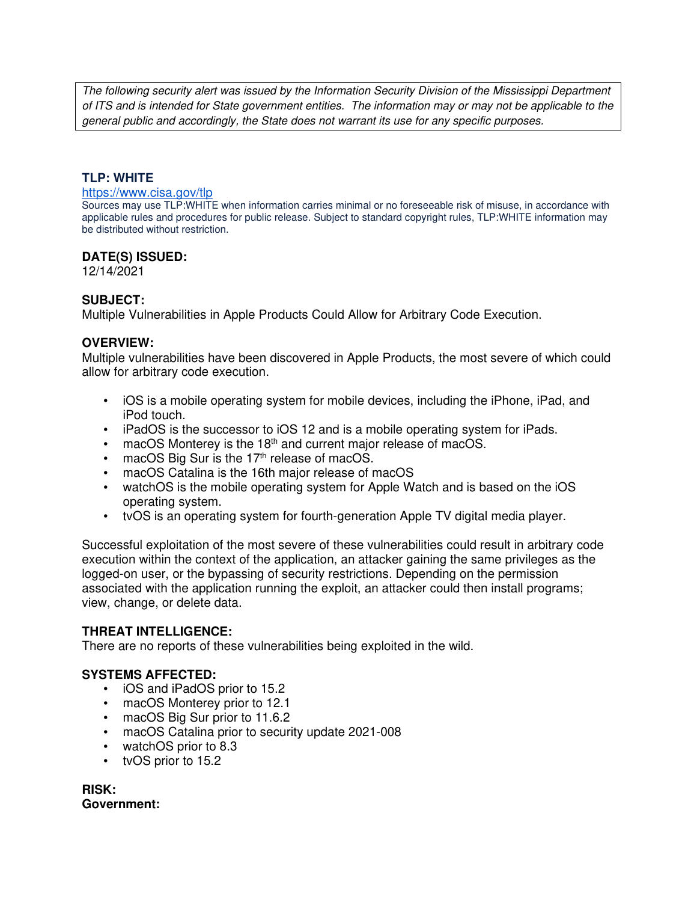The following security alert was issued by the Information Security Division of the Mississippi Department of ITS and is intended for State government entities. The information may or may not be applicable to the general public and accordingly, the State does not warrant its use for any specific purposes.

## **TLP: WHITE**

#### https://www.cisa.gov/tlp

Sources may use TLP:WHITE when information carries minimal or no foreseeable risk of misuse, in accordance with applicable rules and procedures for public release. Subject to standard copyright rules, TLP:WHITE information may be distributed without restriction.

#### **DATE(S) ISSUED:**

12/14/2021

#### **SUBJECT:**

Multiple Vulnerabilities in Apple Products Could Allow for Arbitrary Code Execution.

#### **OVERVIEW:**

Multiple vulnerabilities have been discovered in Apple Products, the most severe of which could allow for arbitrary code execution.

- iOS is a mobile operating system for mobile devices, including the iPhone, iPad, and iPod touch.
- iPadOS is the successor to iOS 12 and is a mobile operating system for iPads.
- $\bullet$  macOS Monterey is the 18<sup>th</sup> and current major release of macOS.
- macOS Big Sur is the  $17<sup>th</sup>$  release of macOS.
- macOS Catalina is the 16th major release of macOS
- watchOS is the mobile operating system for Apple Watch and is based on the iOS operating system.
- tvOS is an operating system for fourth-generation Apple TV digital media player.

Successful exploitation of the most severe of these vulnerabilities could result in arbitrary code execution within the context of the application, an attacker gaining the same privileges as the logged-on user, or the bypassing of security restrictions. Depending on the permission associated with the application running the exploit, an attacker could then install programs; view, change, or delete data.

#### **THREAT INTELLIGENCE:**

There are no reports of these vulnerabilities being exploited in the wild.

## **SYSTEMS AFFECTED:**

- iOS and iPadOS prior to 15.2
- macOS Monterey prior to 12.1
- macOS Big Sur prior to 11.6.2
- macOS Catalina prior to security update 2021-008
- watchOS prior to 8.3
- tvOS prior to 15.2

**RISK: Government:**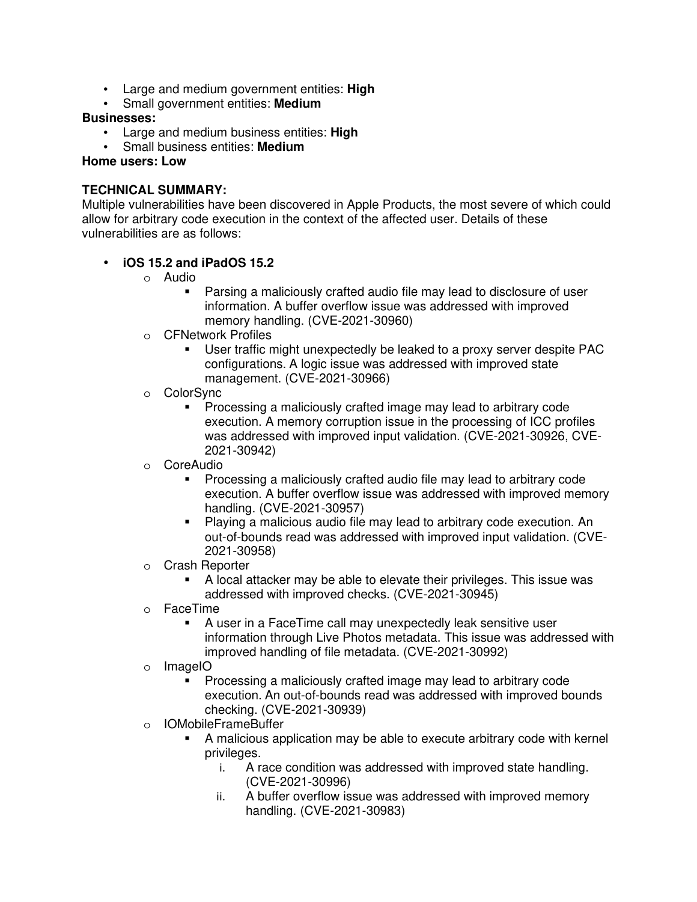- Large and medium government entities: **High**
- Small government entities: **Medium**

## **Businesses:**

- Large and medium business entities: **High**
- Small business entities: **Medium**

#### **Home users: Low**

## **TECHNICAL SUMMARY:**

Multiple vulnerabilities have been discovered in Apple Products, the most severe of which could allow for arbitrary code execution in the context of the affected user. Details of these vulnerabilities are as follows:

## • **iOS 15.2 and iPadOS 15.2**

- o Audio
	- Parsing a maliciously crafted audio file may lead to disclosure of user information. A buffer overflow issue was addressed with improved memory handling. (CVE-2021-30960)
- o CFNetwork Profiles
	- User traffic might unexpectedly be leaked to a proxy server despite PAC configurations. A logic issue was addressed with improved state management. (CVE-2021-30966)
- o ColorSync
	- **Processing a maliciously crafted image may lead to arbitrary code** execution. A memory corruption issue in the processing of ICC profiles was addressed with improved input validation. (CVE-2021-30926, CVE-2021-30942)
- o CoreAudio
	- Processing a maliciously crafted audio file may lead to arbitrary code execution. A buffer overflow issue was addressed with improved memory handling. (CVE-2021-30957)
	- Playing a malicious audio file may lead to arbitrary code execution. An out-of-bounds read was addressed with improved input validation. (CVE-2021-30958)
- o Crash Reporter
	- A local attacker may be able to elevate their privileges. This issue was addressed with improved checks. (CVE-2021-30945)
- o FaceTime
	- A user in a FaceTime call may unexpectedly leak sensitive user information through Live Photos metadata. This issue was addressed with improved handling of file metadata. (CVE-2021-30992)
- o ImageIO
	- Processing a maliciously crafted image may lead to arbitrary code execution. An out-of-bounds read was addressed with improved bounds checking. (CVE-2021-30939)
- o IOMobileFrameBuffer
	- A malicious application may be able to execute arbitrary code with kernel privileges.
		- i. A race condition was addressed with improved state handling. (CVE-2021-30996)
		- ii. A buffer overflow issue was addressed with improved memory handling. (CVE-2021-30983)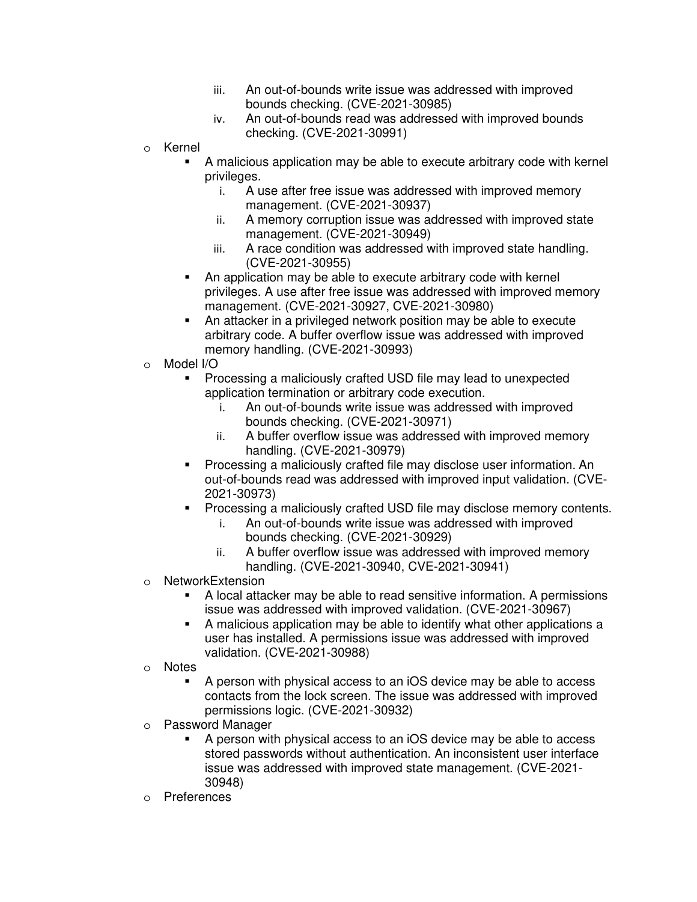- iii. An out-of-bounds write issue was addressed with improved bounds checking. (CVE-2021-30985)
- iv. An out-of-bounds read was addressed with improved bounds checking. (CVE-2021-30991)
- o Kernel
	- A malicious application may be able to execute arbitrary code with kernel privileges.
		- i. A use after free issue was addressed with improved memory management. (CVE-2021-30937)
		- ii. A memory corruption issue was addressed with improved state management. (CVE-2021-30949)
		- iii. A race condition was addressed with improved state handling. (CVE-2021-30955)
	- An application may be able to execute arbitrary code with kernel privileges. A use after free issue was addressed with improved memory management. (CVE-2021-30927, CVE-2021-30980)
	- An attacker in a privileged network position may be able to execute arbitrary code. A buffer overflow issue was addressed with improved memory handling. (CVE-2021-30993)
- o Model I/O
	- Processing a maliciously crafted USD file may lead to unexpected application termination or arbitrary code execution.
		- i. An out-of-bounds write issue was addressed with improved bounds checking. (CVE-2021-30971)
		- ii. A buffer overflow issue was addressed with improved memory handling. (CVE-2021-30979)
	- **Processing a maliciously crafted file may disclose user information. An** out-of-bounds read was addressed with improved input validation. (CVE-2021-30973)
	- Processing a maliciously crafted USD file may disclose memory contents.
		- i. An out-of-bounds write issue was addressed with improved bounds checking. (CVE-2021-30929)
		- ii. A buffer overflow issue was addressed with improved memory handling. (CVE-2021-30940, CVE-2021-30941)
- o NetworkExtension
	- A local attacker may be able to read sensitive information. A permissions issue was addressed with improved validation. (CVE-2021-30967)
	- A malicious application may be able to identify what other applications a user has installed. A permissions issue was addressed with improved validation. (CVE-2021-30988)
- o Notes
	- A person with physical access to an iOS device may be able to access contacts from the lock screen. The issue was addressed with improved permissions logic. (CVE-2021-30932)
- o Password Manager
	- A person with physical access to an iOS device may be able to access stored passwords without authentication. An inconsistent user interface issue was addressed with improved state management. (CVE-2021- 30948)
- o Preferences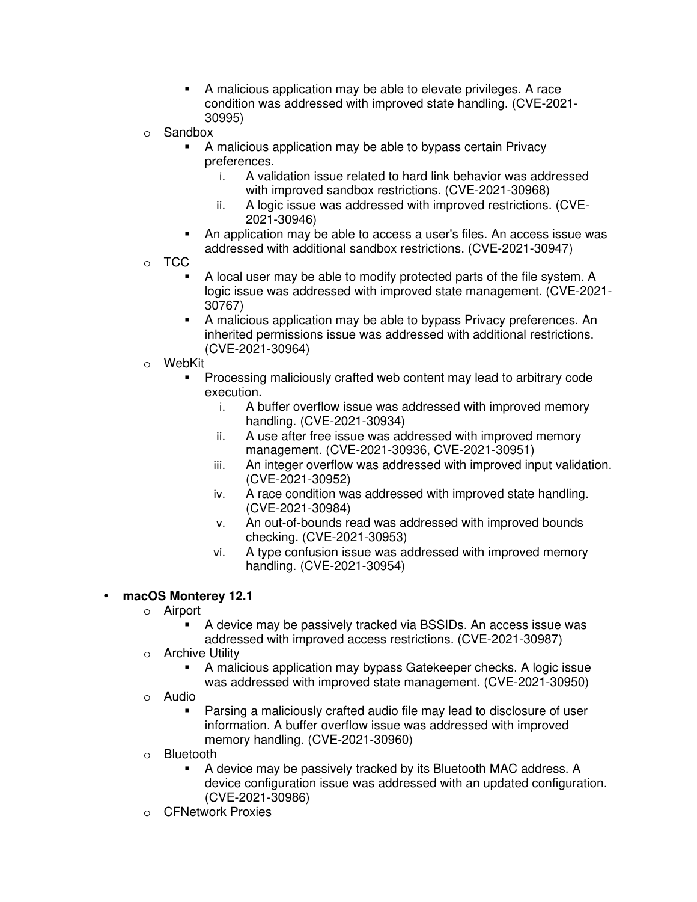- A malicious application may be able to elevate privileges. A race condition was addressed with improved state handling. (CVE-2021- 30995)
- o Sandbox
	- A malicious application may be able to bypass certain Privacy preferences.
		- i. A validation issue related to hard link behavior was addressed with improved sandbox restrictions. (CVE-2021-30968)
		- ii. A logic issue was addressed with improved restrictions. (CVE-2021-30946)
	- An application may be able to access a user's files. An access issue was addressed with additional sandbox restrictions. (CVE-2021-30947)
- o TCC
	- A local user may be able to modify protected parts of the file system. A logic issue was addressed with improved state management. (CVE-2021- 30767)
	- A malicious application may be able to bypass Privacy preferences. An inherited permissions issue was addressed with additional restrictions. (CVE-2021-30964)
- o WebKit
	- Processing maliciously crafted web content may lead to arbitrary code execution.
		- i. A buffer overflow issue was addressed with improved memory handling. (CVE-2021-30934)
		- ii. A use after free issue was addressed with improved memory management. (CVE-2021-30936, CVE-2021-30951)
		- iii. An integer overflow was addressed with improved input validation. (CVE-2021-30952)
		- iv. A race condition was addressed with improved state handling. (CVE-2021-30984)
		- v. An out-of-bounds read was addressed with improved bounds checking. (CVE-2021-30953)
		- vi. A type confusion issue was addressed with improved memory handling. (CVE-2021-30954)

# • **macOS Monterey 12.1**

- o Airport
	- A device may be passively tracked via BSSIDs. An access issue was addressed with improved access restrictions. (CVE-2021-30987)
- o Archive Utility
	- A malicious application may bypass Gatekeeper checks. A logic issue was addressed with improved state management. (CVE-2021-30950)
- o Audio
	- Parsing a maliciously crafted audio file may lead to disclosure of user information. A buffer overflow issue was addressed with improved memory handling. (CVE-2021-30960)
- o Bluetooth
	- A device may be passively tracked by its Bluetooth MAC address. A device configuration issue was addressed with an updated configuration. (CVE-2021-30986)
- o CFNetwork Proxies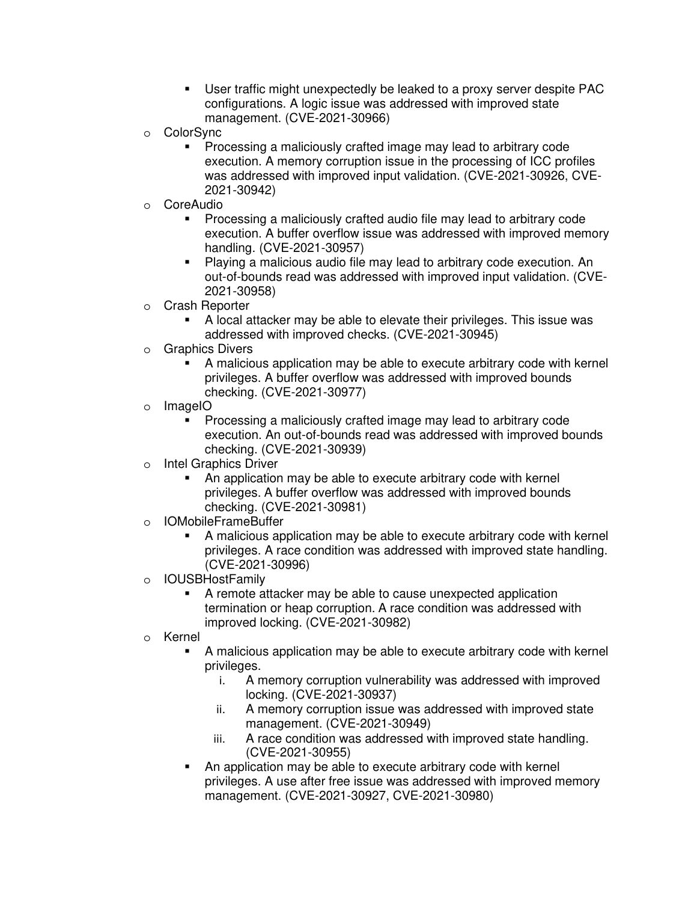- User traffic might unexpectedly be leaked to a proxy server despite PAC configurations. A logic issue was addressed with improved state management. (CVE-2021-30966)
- o ColorSync
	- **Processing a maliciously crafted image may lead to arbitrary code** execution. A memory corruption issue in the processing of ICC profiles was addressed with improved input validation. (CVE-2021-30926, CVE-2021-30942)
- o CoreAudio
	- Processing a maliciously crafted audio file may lead to arbitrary code execution. A buffer overflow issue was addressed with improved memory handling. (CVE-2021-30957)
	- Playing a malicious audio file may lead to arbitrary code execution. An out-of-bounds read was addressed with improved input validation. (CVE-2021-30958)
- o Crash Reporter
	- A local attacker may be able to elevate their privileges. This issue was addressed with improved checks. (CVE-2021-30945)
- o Graphics Divers
	- A malicious application may be able to execute arbitrary code with kernel privileges. A buffer overflow was addressed with improved bounds checking. (CVE-2021-30977)
- o ImageIO
	- Processing a maliciously crafted image may lead to arbitrary code execution. An out-of-bounds read was addressed with improved bounds checking. (CVE-2021-30939)
- o Intel Graphics Driver
	- An application may be able to execute arbitrary code with kernel privileges. A buffer overflow was addressed with improved bounds checking. (CVE-2021-30981)
- o IOMobileFrameBuffer
	- A malicious application may be able to execute arbitrary code with kernel privileges. A race condition was addressed with improved state handling. (CVE-2021-30996)
- o IOUSBHostFamily
	- A remote attacker may be able to cause unexpected application termination or heap corruption. A race condition was addressed with improved locking. (CVE-2021-30982)
- o Kernel
	- A malicious application may be able to execute arbitrary code with kernel privileges.
		- i. A memory corruption vulnerability was addressed with improved locking. (CVE-2021-30937)
		- ii. A memory corruption issue was addressed with improved state management. (CVE-2021-30949)
		- iii. A race condition was addressed with improved state handling. (CVE-2021-30955)
	- An application may be able to execute arbitrary code with kernel privileges. A use after free issue was addressed with improved memory management. (CVE-2021-30927, CVE-2021-30980)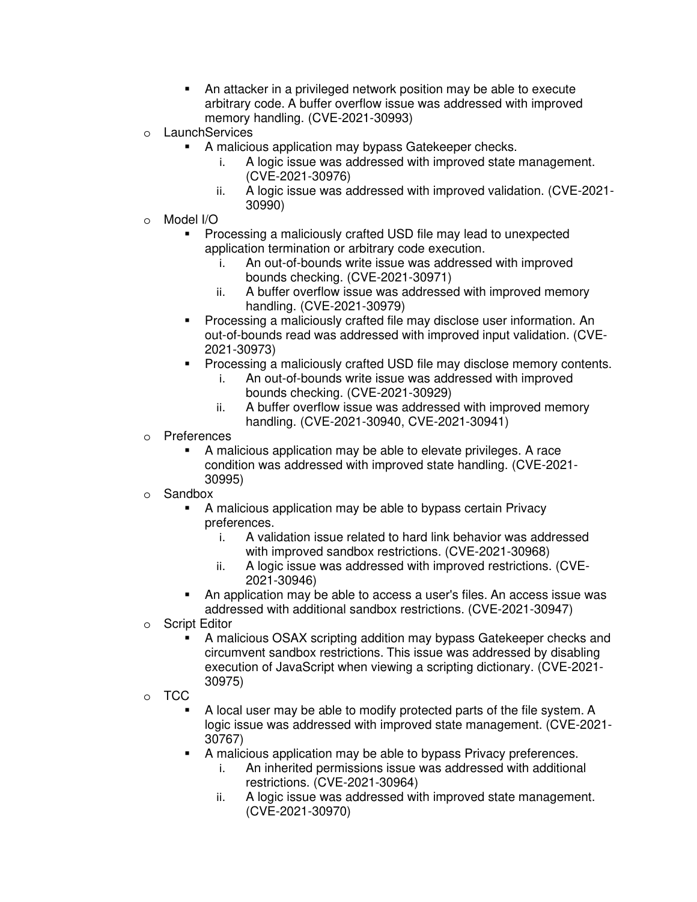- An attacker in a privileged network position may be able to execute arbitrary code. A buffer overflow issue was addressed with improved memory handling. (CVE-2021-30993)
- o LaunchServices
	- A malicious application may bypass Gatekeeper checks.
		- i. A logic issue was addressed with improved state management. (CVE-2021-30976)
		- ii. A logic issue was addressed with improved validation. (CVE-2021- 30990)
- o Model I/O
	- **Processing a maliciously crafted USD file may lead to unexpected** application termination or arbitrary code execution.
		- i. An out-of-bounds write issue was addressed with improved bounds checking. (CVE-2021-30971)
		- ii. A buffer overflow issue was addressed with improved memory handling. (CVE-2021-30979)
	- Processing a maliciously crafted file may disclose user information. An out-of-bounds read was addressed with improved input validation. (CVE-2021-30973)
	- Processing a maliciously crafted USD file may disclose memory contents.
		- i. An out-of-bounds write issue was addressed with improved bounds checking. (CVE-2021-30929)
		- ii. A buffer overflow issue was addressed with improved memory handling. (CVE-2021-30940, CVE-2021-30941)
- o Preferences
	- A malicious application may be able to elevate privileges. A race condition was addressed with improved state handling. (CVE-2021- 30995)
- o Sandbox
	- A malicious application may be able to bypass certain Privacy preferences.
		- i. A validation issue related to hard link behavior was addressed with improved sandbox restrictions. (CVE-2021-30968)
		- ii. A logic issue was addressed with improved restrictions. (CVE-2021-30946)
	- **An application may be able to access a user's files. An access issue was** addressed with additional sandbox restrictions. (CVE-2021-30947)
- o Script Editor
	- A malicious OSAX scripting addition may bypass Gatekeeper checks and circumvent sandbox restrictions. This issue was addressed by disabling execution of JavaScript when viewing a scripting dictionary. (CVE-2021- 30975)
- o TCC
	- A local user may be able to modify protected parts of the file system. A logic issue was addressed with improved state management. (CVE-2021- 30767)
	- A malicious application may be able to bypass Privacy preferences.
		- i. An inherited permissions issue was addressed with additional restrictions. (CVE-2021-30964)
		- ii. A logic issue was addressed with improved state management. (CVE-2021-30970)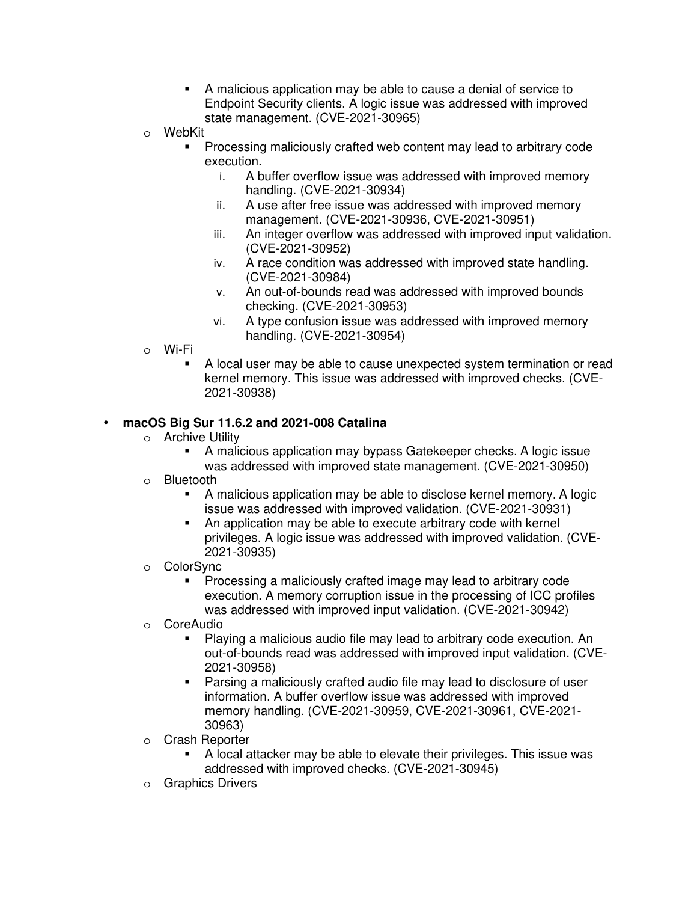- A malicious application may be able to cause a denial of service to Endpoint Security clients. A logic issue was addressed with improved state management. (CVE-2021-30965)
- o WebKit
	- Processing maliciously crafted web content may lead to arbitrary code execution.
		- i. A buffer overflow issue was addressed with improved memory handling. (CVE-2021-30934)
		- ii. A use after free issue was addressed with improved memory management. (CVE-2021-30936, CVE-2021-30951)
		- iii. An integer overflow was addressed with improved input validation. (CVE-2021-30952)
		- iv. A race condition was addressed with improved state handling. (CVE-2021-30984)
		- v. An out-of-bounds read was addressed with improved bounds checking. (CVE-2021-30953)
		- vi. A type confusion issue was addressed with improved memory handling. (CVE-2021-30954)
- o Wi-Fi
	- A local user may be able to cause unexpected system termination or read kernel memory. This issue was addressed with improved checks. (CVE-2021-30938)

## • **macOS Big Sur 11.6.2 and 2021-008 Catalina**

- o Archive Utility
	- A malicious application may bypass Gatekeeper checks. A logic issue was addressed with improved state management. (CVE-2021-30950)
- o Bluetooth
	- A malicious application may be able to disclose kernel memory. A logic issue was addressed with improved validation. (CVE-2021-30931)
	- An application may be able to execute arbitrary code with kernel privileges. A logic issue was addressed with improved validation. (CVE-2021-30935)
- o ColorSync
	- **Processing a maliciously crafted image may lead to arbitrary code** execution. A memory corruption issue in the processing of ICC profiles was addressed with improved input validation. (CVE-2021-30942)
- o CoreAudio
	- Playing a malicious audio file may lead to arbitrary code execution. An out-of-bounds read was addressed with improved input validation. (CVE-2021-30958)
	- Parsing a maliciously crafted audio file may lead to disclosure of user information. A buffer overflow issue was addressed with improved memory handling. (CVE-2021-30959, CVE-2021-30961, CVE-2021- 30963)
- o Crash Reporter
	- A local attacker may be able to elevate their privileges. This issue was addressed with improved checks. (CVE-2021-30945)
- o Graphics Drivers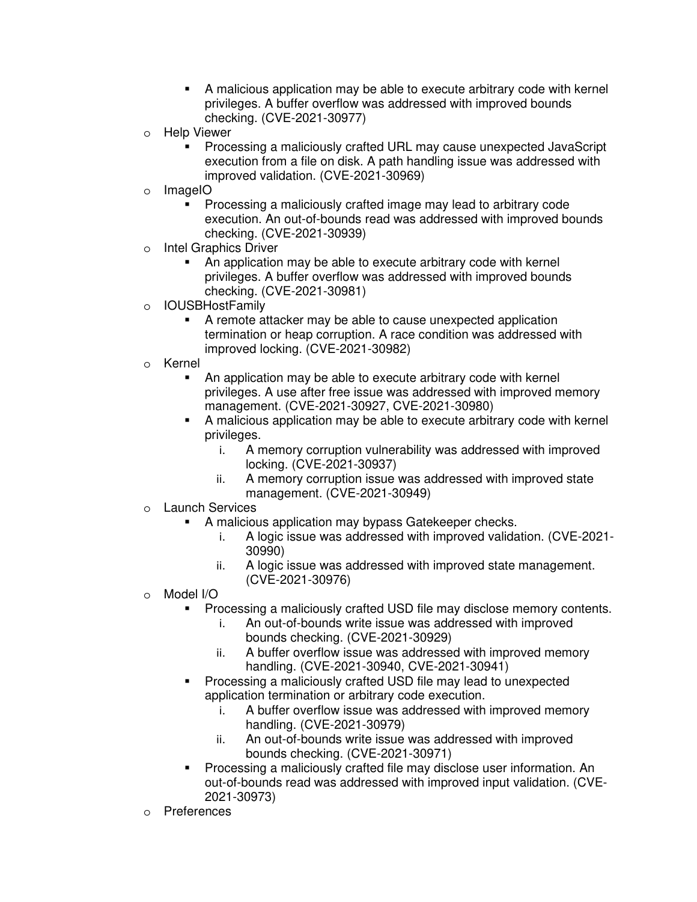- A malicious application may be able to execute arbitrary code with kernel privileges. A buffer overflow was addressed with improved bounds checking. (CVE-2021-30977)
- o Help Viewer
	- Processing a maliciously crafted URL may cause unexpected JavaScript execution from a file on disk. A path handling issue was addressed with improved validation. (CVE-2021-30969)
- o ImageIO
	- Processing a maliciously crafted image may lead to arbitrary code execution. An out-of-bounds read was addressed with improved bounds checking. (CVE-2021-30939)
- o Intel Graphics Driver
	- An application may be able to execute arbitrary code with kernel privileges. A buffer overflow was addressed with improved bounds checking. (CVE-2021-30981)
- o IOUSBHostFamily
	- A remote attacker may be able to cause unexpected application termination or heap corruption. A race condition was addressed with improved locking. (CVE-2021-30982)
- o Kernel
	- An application may be able to execute arbitrary code with kernel privileges. A use after free issue was addressed with improved memory management. (CVE-2021-30927, CVE-2021-30980)
	- A malicious application may be able to execute arbitrary code with kernel privileges.
		- i. A memory corruption vulnerability was addressed with improved locking. (CVE-2021-30937)
		- ii. A memory corruption issue was addressed with improved state management. (CVE-2021-30949)
- o Launch Services
	- A malicious application may bypass Gatekeeper checks.
		- i. A logic issue was addressed with improved validation. (CVE-2021- 30990)
		- ii. A logic issue was addressed with improved state management. (CVE-2021-30976)
- o Model I/O
	- Processing a maliciously crafted USD file may disclose memory contents.
		- i. An out-of-bounds write issue was addressed with improved bounds checking. (CVE-2021-30929)
		- ii. A buffer overflow issue was addressed with improved memory handling. (CVE-2021-30940, CVE-2021-30941)
	- Processing a maliciously crafted USD file may lead to unexpected application termination or arbitrary code execution.
		- i. A buffer overflow issue was addressed with improved memory handling. (CVE-2021-30979)
		- ii. An out-of-bounds write issue was addressed with improved bounds checking. (CVE-2021-30971)
	- Processing a maliciously crafted file may disclose user information. An out-of-bounds read was addressed with improved input validation. (CVE-2021-30973)
- o Preferences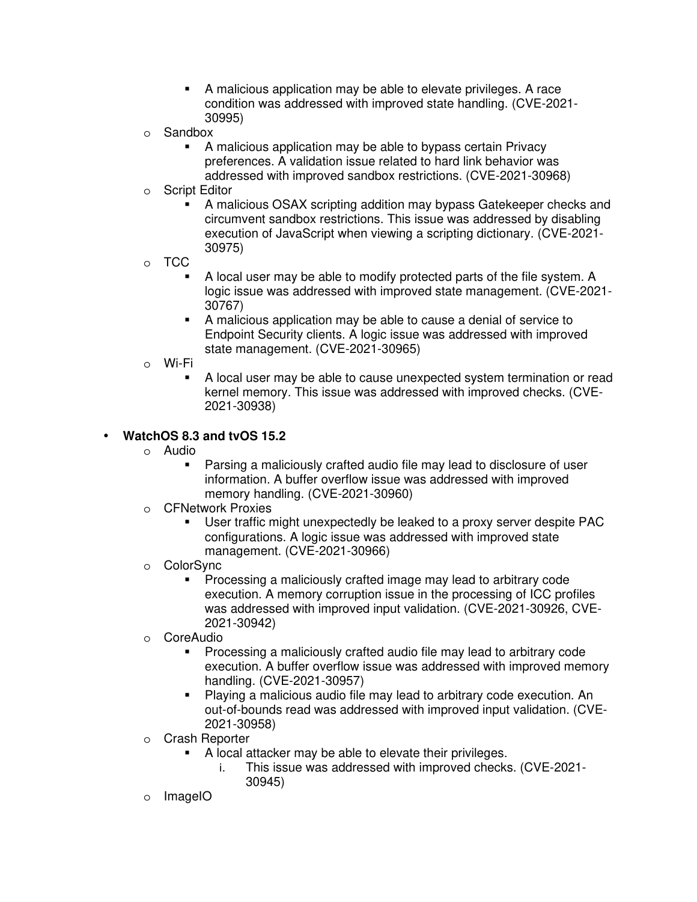- A malicious application may be able to elevate privileges. A race condition was addressed with improved state handling. (CVE-2021- 30995)
- o Sandbox
	- A malicious application may be able to bypass certain Privacy preferences. A validation issue related to hard link behavior was addressed with improved sandbox restrictions. (CVE-2021-30968)
- o Script Editor
	- A malicious OSAX scripting addition may bypass Gatekeeper checks and circumvent sandbox restrictions. This issue was addressed by disabling execution of JavaScript when viewing a scripting dictionary. (CVE-2021- 30975)
- o TCC
	- A local user may be able to modify protected parts of the file system. A logic issue was addressed with improved state management. (CVE-2021- 30767)
	- A malicious application may be able to cause a denial of service to Endpoint Security clients. A logic issue was addressed with improved state management. (CVE-2021-30965)
- o Wi-Fi
	- A local user may be able to cause unexpected system termination or read kernel memory. This issue was addressed with improved checks. (CVE-2021-30938)

## • **WatchOS 8.3 and tvOS 15.2**

- o Audio
	- Parsing a maliciously crafted audio file may lead to disclosure of user information. A buffer overflow issue was addressed with improved memory handling. (CVE-2021-30960)
- o CFNetwork Proxies
	- User traffic might unexpectedly be leaked to a proxy server despite PAC configurations. A logic issue was addressed with improved state management. (CVE-2021-30966)
- o ColorSync
	- **Processing a maliciously crafted image may lead to arbitrary code** execution. A memory corruption issue in the processing of ICC profiles was addressed with improved input validation. (CVE-2021-30926, CVE-2021-30942)
- o CoreAudio
	- **Processing a maliciously crafted audio file may lead to arbitrary code** execution. A buffer overflow issue was addressed with improved memory handling. (CVE-2021-30957)
	- Playing a malicious audio file may lead to arbitrary code execution. An out-of-bounds read was addressed with improved input validation. (CVE-2021-30958)
- o Crash Reporter
	- A local attacker may be able to elevate their privileges.
		- i. This issue was addressed with improved checks. (CVE-2021- 30945)
- o ImageIO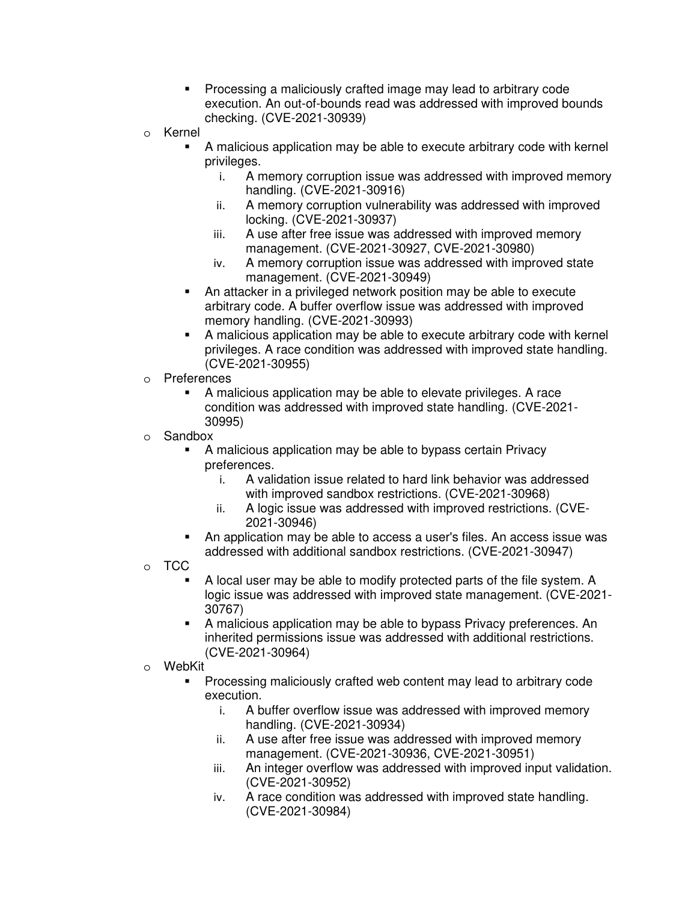- **Processing a maliciously crafted image may lead to arbitrary code** execution. An out-of-bounds read was addressed with improved bounds checking. (CVE-2021-30939)
- o Kernel
	- A malicious application may be able to execute arbitrary code with kernel privileges.
		- i. A memory corruption issue was addressed with improved memory handling. (CVE-2021-30916)
		- ii. A memory corruption vulnerability was addressed with improved locking. (CVE-2021-30937)
		- iii. A use after free issue was addressed with improved memory management. (CVE-2021-30927, CVE-2021-30980)
		- iv. A memory corruption issue was addressed with improved state management. (CVE-2021-30949)
	- An attacker in a privileged network position may be able to execute arbitrary code. A buffer overflow issue was addressed with improved memory handling. (CVE-2021-30993)
	- A malicious application may be able to execute arbitrary code with kernel privileges. A race condition was addressed with improved state handling. (CVE-2021-30955)
- o Preferences
	- A malicious application may be able to elevate privileges. A race condition was addressed with improved state handling. (CVE-2021- 30995)
- o Sandbox
	- A malicious application may be able to bypass certain Privacy preferences.
		- i. A validation issue related to hard link behavior was addressed with improved sandbox restrictions. (CVE-2021-30968)
		- ii. A logic issue was addressed with improved restrictions. (CVE-2021-30946)
	- An application may be able to access a user's files. An access issue was addressed with additional sandbox restrictions. (CVE-2021-30947)
- o TCC
	- A local user may be able to modify protected parts of the file system. A logic issue was addressed with improved state management. (CVE-2021- 30767)
	- A malicious application may be able to bypass Privacy preferences. An inherited permissions issue was addressed with additional restrictions. (CVE-2021-30964)
- o WebKit
	- Processing maliciously crafted web content may lead to arbitrary code execution.
		- i. A buffer overflow issue was addressed with improved memory handling. (CVE-2021-30934)
		- ii. A use after free issue was addressed with improved memory management. (CVE-2021-30936, CVE-2021-30951)
		- iii. An integer overflow was addressed with improved input validation. (CVE-2021-30952)
		- iv. A race condition was addressed with improved state handling. (CVE-2021-30984)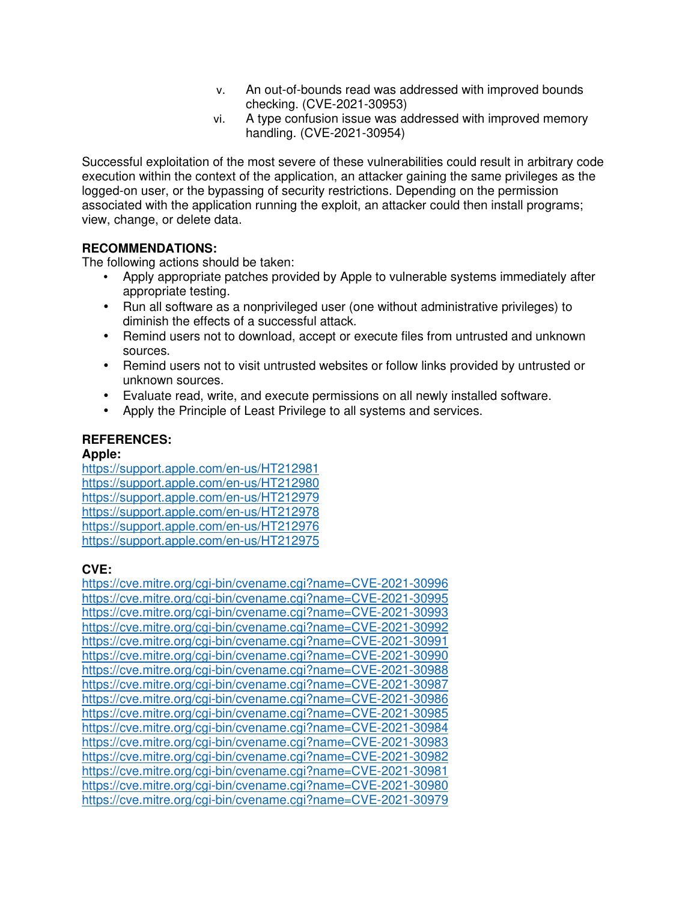- v. An out-of-bounds read was addressed with improved bounds checking. (CVE-2021-30953)
- vi. A type confusion issue was addressed with improved memory handling. (CVE-2021-30954)

Successful exploitation of the most severe of these vulnerabilities could result in arbitrary code execution within the context of the application, an attacker gaining the same privileges as the logged-on user, or the bypassing of security restrictions. Depending on the permission associated with the application running the exploit, an attacker could then install programs; view, change, or delete data.

## **RECOMMENDATIONS:**

The following actions should be taken:

- Apply appropriate patches provided by Apple to vulnerable systems immediately after appropriate testing.
- Run all software as a nonprivileged user (one without administrative privileges) to diminish the effects of a successful attack.
- Remind users not to download, accept or execute files from untrusted and unknown sources.
- Remind users not to visit untrusted websites or follow links provided by untrusted or unknown sources.
- Evaluate read, write, and execute permissions on all newly installed software.
- Apply the Principle of Least Privilege to all systems and services.

# **REFERENCES:**

## **Apple:**

https://support.apple.com/en-us/HT212981 https://support.apple.com/en-us/HT212980 https://support.apple.com/en-us/HT212979 https://support.apple.com/en-us/HT212978 https://support.apple.com/en-us/HT212976 https://support.apple.com/en-us/HT212975

# **CVE:**

https://cve.mitre.org/cgi-bin/cvename.cgi?name=CVE-2021-30996 https://cve.mitre.org/cgi-bin/cvename.cgi?name=CVE-2021-30995 https://cve.mitre.org/cgi-bin/cvename.cgi?name=CVE-2021-30993 https://cve.mitre.org/cgi-bin/cvename.cgi?name=CVE-2021-30992 https://cve.mitre.org/cgi-bin/cvename.cgi?name=CVE-2021-30991 https://cve.mitre.org/cgi-bin/cvename.cgi?name=CVE-2021-30990 https://cve.mitre.org/cgi-bin/cvename.cgi?name=CVE-2021-30988 https://cve.mitre.org/cgi-bin/cvename.cgi?name=CVE-2021-30987 https://cve.mitre.org/cgi-bin/cvename.cgi?name=CVE-2021-30986 https://cve.mitre.org/cgi-bin/cvename.cgi?name=CVE-2021-30985 https://cve.mitre.org/cgi-bin/cvename.cgi?name=CVE-2021-30984 https://cve.mitre.org/cgi-bin/cvename.cgi?name=CVE-2021-30983 https://cve.mitre.org/cgi-bin/cvename.cgi?name=CVE-2021-30982 https://cve.mitre.org/cgi-bin/cvename.cgi?name=CVE-2021-30981 https://cve.mitre.org/cgi-bin/cvename.cgi?name=CVE-2021-30980 https://cve.mitre.org/cgi-bin/cvename.cgi?name=CVE-2021-30979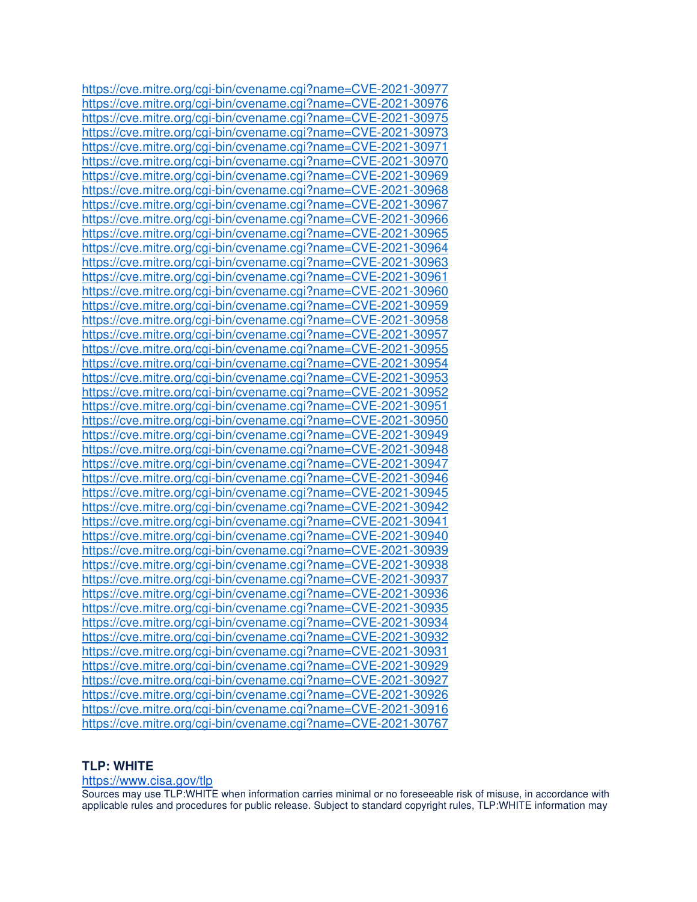https://cve.mitre.org/cgi-bin/cvename.cgi?name=CVE-2021-30977 https://cve.mitre.org/cgi-bin/cvename.cgi?name=CVE-2021-30976 https://cve.mitre.org/cgi-bin/cvename.cgi?name=CVE-2021-30975 https://cve.mitre.org/cgi-bin/cvename.cgi?name=CVE-2021-30973 https://cve.mitre.org/cgi-bin/cvename.cgi?name=CVE-2021-30971 https://cve.mitre.org/cgi-bin/cvename.cgi?name=CVE-2021-30970 https://cve.mitre.org/cgi-bin/cvename.cgi?name=CVE-2021-30969 https://cve.mitre.org/cgi-bin/cvename.cgi?name=CVE-2021-30968 https://cve.mitre.org/cgi-bin/cvename.cgi?name=CVE-2021-30967 https://cve.mitre.org/cgi-bin/cvename.cgi?name=CVE-2021-30966 https://cve.mitre.org/cgi-bin/cvename.cgi?name=CVE-2021-30965 https://cve.mitre.org/cgi-bin/cvename.cgi?name=CVE-2021-30964 https://cve.mitre.org/cgi-bin/cvename.cgi?name=CVE-2021-30963 https://cve.mitre.org/cgi-bin/cvename.cgi?name=CVE-2021-30961 https://cve.mitre.org/cgi-bin/cvename.cgi?name=CVE-2021-30960 https://cve.mitre.org/cgi-bin/cvename.cgi?name=CVE-2021-30959 https://cve.mitre.org/cgi-bin/cvename.cgi?name=CVE-2021-30958 https://cve.mitre.org/cgi-bin/cvename.cgi?name=CVE-2021-30957 https://cve.mitre.org/cgi-bin/cvename.cgi?name=CVE-2021-30955 https://cve.mitre.org/cgi-bin/cvename.cgi?name=CVE-2021-30954 https://cve.mitre.org/cgi-bin/cvename.cgi?name=CVE-2021-30953 https://cve.mitre.org/cgi-bin/cvename.cgi?name=CVE-2021-30952 https://cve.mitre.org/cgi-bin/cvename.cgi?name=CVE-2021-30951 https://cve.mitre.org/cgi-bin/cvename.cgi?name=CVE-2021-30950 https://cve.mitre.org/cgi-bin/cvename.cgi?name=CVE-2021-30949 https://cve.mitre.org/cgi-bin/cvename.cgi?name=CVE-2021-30948 https://cve.mitre.org/cgi-bin/cvename.cgi?name=CVE-2021-30947 https://cve.mitre.org/cgi-bin/cvename.cgi?name=CVE-2021-30946 https://cve.mitre.org/cgi-bin/cvename.cgi?name=CVE-2021-30945 https://cve.mitre.org/cgi-bin/cvename.cgi?name=CVE-2021-30942 https://cve.mitre.org/cgi-bin/cvename.cgi?name=CVE-2021-30941 https://cve.mitre.org/cgi-bin/cvename.cgi?name=CVE-2021-30940 https://cve.mitre.org/cgi-bin/cvename.cgi?name=CVE-2021-30939 https://cve.mitre.org/cgi-bin/cvename.cgi?name=CVE-2021-30938 https://cve.mitre.org/cgi-bin/cvename.cgi?name=CVE-2021-30937 https://cve.mitre.org/cgi-bin/cvename.cgi?name=CVE-2021-30936 https://cve.mitre.org/cgi-bin/cvename.cgi?name=CVE-2021-30935 https://cve.mitre.org/cgi-bin/cvename.cgi?name=CVE-2021-30934 https://cve.mitre.org/cgi-bin/cvename.cgi?name=CVE-2021-30932 https://cve.mitre.org/cgi-bin/cvename.cgi?name=CVE-2021-30931 https://cve.mitre.org/cgi-bin/cvename.cgi?name=CVE-2021-30929 https://cve.mitre.org/cgi-bin/cvename.cgi?name=CVE-2021-30927 https://cve.mitre.org/cgi-bin/cvename.cgi?name=CVE-2021-30926 https://cve.mitre.org/cgi-bin/cvename.cgi?name=CVE-2021-30916 https://cve.mitre.org/cgi-bin/cvename.cgi?name=CVE-2021-30767

#### **TLP: WHITE**

#### https://www.cisa.gov/tlp

Sources may use TLP:WHITE when information carries minimal or no foreseeable risk of misuse, in accordance with applicable rules and procedures for public release. Subject to standard copyright rules, TLP:WHITE information may